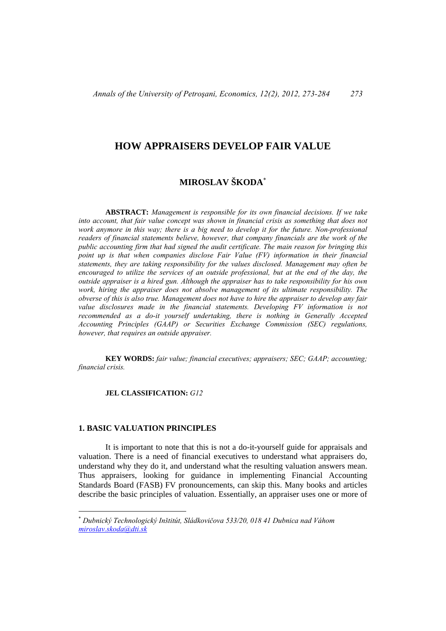## **HOW APPRAISERS DEVELOP FAIR VALUE**

# **MIROSLAV ŠKODA**

 **ABSTRACT:** *Management is responsible for its own financial decisions. If we take into account, that fair value concept was shown in financial crisis as something that does not work anymore in this way; there is a big need to develop it for the future. Non-professional readers of financial statements believe, however, that company financials are the work of the public accounting firm that had signed the audit certificate. The main reason for bringing this point up is that when companies disclose Fair Value (FV) information in their financial statements, they are taking responsibility for the values disclosed. Management may often be encouraged to utilize the services of an outside professional, but at the end of the day, the outside appraiser is a hired gun. Although the appraiser has to take responsibility for his own work, hiring the appraiser does not absolve management of its ultimate responsibility. The obverse of this is also true. Management does not have to hire the appraiser to develop any fair*  value disclosures made in the financial statements. Developing FV information is not *recommended as a do-it yourself undertaking, there is nothing in Generally Accepted Accounting Principles (GAAP) or Securities Exchange Commission (SEC) regulations, however, that requires an outside appraiser.* 

 **KEY WORDS:** *fair value; financial executives; appraisers; SEC; GAAP; accounting; financial crisis.* 

#### **JEL CLASSIFICATION:** *G12*

#### **1. BASIC VALUATION PRINCIPLES**

 $\overline{a}$ 

 It is important to note that this is not a do-it-yourself guide for appraisals and valuation. There is a need of financial executives to understand what appraisers do, understand why they do it, and understand what the resulting valuation answers mean. Thus appraisers, looking for guidance in implementing Financial Accounting Standards Board (FASB) FV pronouncements, can skip this. Many books and articles describe the basic principles of valuation. Essentially, an appraiser uses one or more of

*Dubnický Technologický Inštitút, Sládkovičova 533/20, 018 41 Dubnica nad Váhom miroslav.skoda@dti.sk*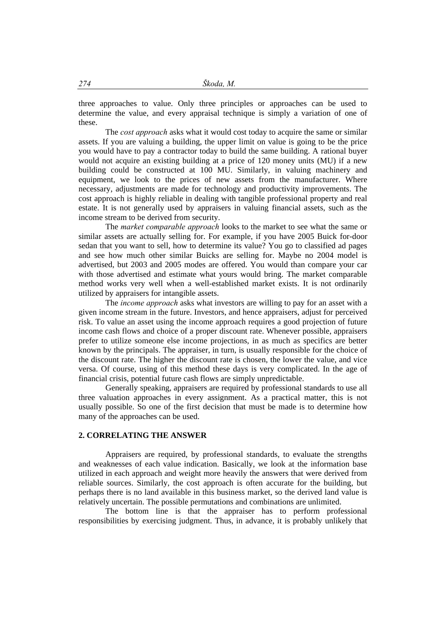three approaches to value. Only three principles or approaches can be used to determine the value, and every appraisal technique is simply a variation of one of these.

 The *cost approach* asks what it would cost today to acquire the same or similar assets. If you are valuing a building, the upper limit on value is going to be the price you would have to pay a contractor today to build the same building. A rational buyer would not acquire an existing building at a price of 120 money units (MU) if a new building could be constructed at 100 MU. Similarly, in valuing machinery and equipment, we look to the prices of new assets from the manufacturer. Where necessary, adjustments are made for technology and productivity improvements. The cost approach is highly reliable in dealing with tangible professional property and real estate. It is not generally used by appraisers in valuing financial assets, such as the income stream to be derived from security.

 The *market comparable approach* looks to the market to see what the same or similar assets are actually selling for. For example, if you have 2005 Buick for-door sedan that you want to sell, how to determine its value? You go to classified ad pages and see how much other similar Buicks are selling for. Maybe no 2004 model is advertised, but 2003 and 2005 modes are offered. You would than compare your car with those advertised and estimate what yours would bring. The market comparable method works very well when a well-established market exists. It is not ordinarily utilized by appraisers for intangible assets.

 The *income approach* asks what investors are willing to pay for an asset with a given income stream in the future. Investors, and hence appraisers, adjust for perceived risk. To value an asset using the income approach requires a good projection of future income cash flows and choice of a proper discount rate. Whenever possible, appraisers prefer to utilize someone else income projections, in as much as specifics are better known by the principals. The appraiser, in turn, is usually responsible for the choice of the discount rate. The higher the discount rate is chosen, the lower the value, and vice versa. Of course, using of this method these days is very complicated. In the age of financial crisis, potential future cash flows are simply unpredictable.

Generally speaking, appraisers are required by professional standards to use all three valuation approaches in every assignment. As a practical matter, this is not usually possible. So one of the first decision that must be made is to determine how many of the approaches can be used.

## **2. CORRELATING THE ANSWER**

 Appraisers are required, by professional standards, to evaluate the strengths and weaknesses of each value indication. Basically, we look at the information base utilized in each approach and weight more heavily the answers that were derived from reliable sources. Similarly, the cost approach is often accurate for the building, but perhaps there is no land available in this business market, so the derived land value is relatively uncertain. The possible permutations and combinations are unlimited.

 The bottom line is that the appraiser has to perform professional responsibilities by exercising judgment. Thus, in advance, it is probably unlikely that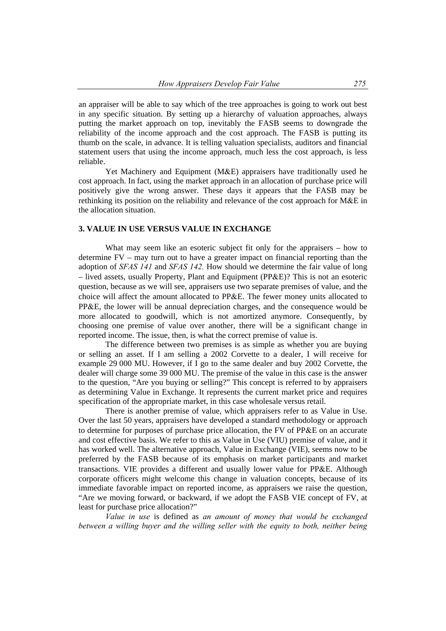an appraiser will be able to say which of the tree approaches is going to work out best in any specific situation. By setting up a hierarchy of valuation approaches, always putting the market approach on top, inevitably the FASB seems to downgrade the reliability of the income approach and the cost approach. The FASB is putting its thumb on the scale, in advance. It is telling valuation specialists, auditors and financial statement users that using the income approach, much less the cost approach, is less reliable.

Yet Machinery and Equipment (M&E) appraisers have traditionally used he cost approach. In fact, using the market approach in an allocation of purchase price will positively give the wrong answer. These days it appears that the FASB may be rethinking its position on the reliability and relevance of the cost approach for M&E in the allocation situation.

## **3. VALUE IN USE VERSUS VALUE IN EXCHANGE**

What may seem like an esoteric subject fit only for the appraisers – how to determine FV – may turn out to have a greater impact on financial reporting than the adoption of *SFAS 141* and *SFAS 142.* How should we determine the fair value of long  $-$  lived assets, usually Property, Plant and Equipment (PP&E)? This is not an esoteric question, because as we will see, appraisers use two separate premises of value, and the choice will affect the amount allocated to PP&E. The fewer money units allocated to PPE, the lower will be annual depreciation charges, and the consequence would be more allocated to goodwill, which is not amortized anymore. Consequently, by choosing one premise of value over another, there will be a significant change in reported income. The issue, then, is what the correct premise of value is.

 The difference between two premises is as simple as whether you are buying or selling an asset. If I am selling a 2002 Corvette to a dealer, I will receive for example 29 000 MU. However, if I go to the same dealer and buy 2002 Corvette, the dealer will charge some 39 000 MU. The premise of the value in this case is the answer to the question, "Are you buying or selling?" This concept is referred to by appraisers as determining Value in Exchange. It represents the current market price and requires specification of the appropriate market, in this case wholesale versus retail.

 There is another premise of value, which appraisers refer to as Value in Use. Over the last 50 years, appraisers have developed a standard methodology or approach to determine for purposes of purchase price allocation, the FV of  $PP\&E$  on an accurate and cost effective basis. We refer to this as Value in Use (VIU) premise of value, and it has worked well. The alternative approach, Value in Exchange (VIE), seems now to be preferred by the FASB because of its emphasis on market participants and market transactions. VIE provides a different and usually lower value for PP&E. Although corporate officers might welcome this change in valuation concepts, because of its immediate favorable impact on reported income, as appraisers we raise the question, "Are we moving forward, or backward, if we adopt the FASB VIE concept of FV, at least for purchase price allocation?"

 *Value in use* is defined as *an amount of money that would be exchanged between a willing buyer and the willing seller with the equity to both, neither being*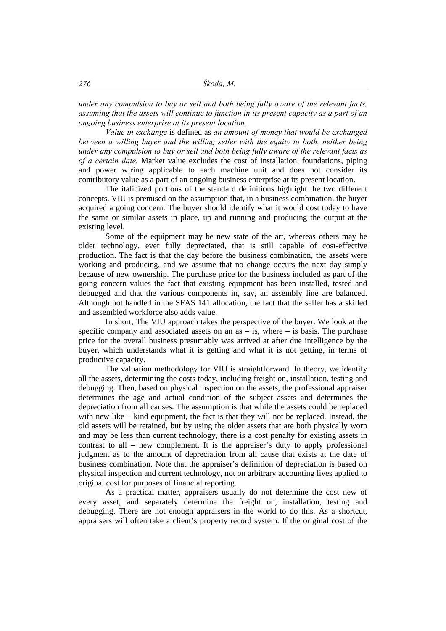*under any compulsion to buy or sell and both being fully aware of the relevant facts, assuming that the assets will continue to function in its present capacity as a part of an ongoing business enterprise at its present location.* 

 *Value in exchange* is defined as *an amount of money that would be exchanged between a willing buyer and the willing seller with the equity to both, neither being under any compulsion to buy or sell and both being fully aware of the relevant facts as of a certain date.* Market value excludes the cost of installation, foundations, piping and power wiring applicable to each machine unit and does not consider its contributory value as a part of an ongoing business enterprise at its present location.

 The italicized portions of the standard definitions highlight the two different concepts. VIU is premised on the assumption that, in a business combination, the buyer acquired a going concern. The buyer should identify what it would cost today to have the same or similar assets in place, up and running and producing the output at the existing level.

Some of the equipment may be new state of the art, whereas others may be older technology, ever fully depreciated, that is still capable of cost-effective production. The fact is that the day before the business combination, the assets were working and producing, and we assume that no change occurs the next day simply because of new ownership. The purchase price for the business included as part of the going concern values the fact that existing equipment has been installed, tested and debugged and that the various components in, say, an assembly line are balanced. Although not handled in the SFAS 141 allocation, the fact that the seller has a skilled and assembled workforce also adds value.

 In short, The VIU approach takes the perspective of the buyer. We look at the specific company and associated assets on an  $as - is$ , where  $- is$  basis. The purchase price for the overall business presumably was arrived at after due intelligence by the buyer, which understands what it is getting and what it is not getting, in terms of productive capacity.

 The valuation methodology for VIU is straightforward. In theory, we identify all the assets, determining the costs today, including freight on, installation, testing and debugging. Then, based on physical inspection on the assets, the professional appraiser determines the age and actual condition of the subject assets and determines the depreciation from all causes. The assumption is that while the assets could be replaced with new like – kind equipment, the fact is that they will not be replaced. Instead, the old assets will be retained, but by using the older assets that are both physically worn and may be less than current technology, there is a cost penalty for existing assets in contrast to all – new complement. It is the appraiser's duty to apply professional judgment as to the amount of depreciation from all cause that exists at the date of business combination. Note that the appraiser's definition of depreciation is based on physical inspection and current technology, not on arbitrary accounting lives applied to original cost for purposes of financial reporting.

 As a practical matter, appraisers usually do not determine the cost new of every asset, and separately determine the freight on, installation, testing and debugging. There are not enough appraisers in the world to do this. As a shortcut, appraisers will often take a client's property record system. If the original cost of the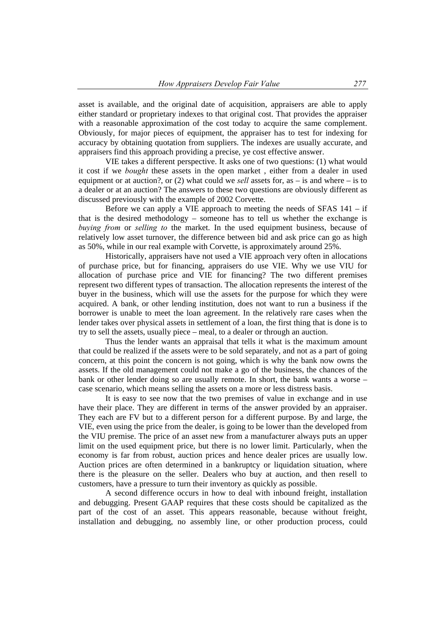asset is available, and the original date of acquisition, appraisers are able to apply either standard or proprietary indexes to that original cost. That provides the appraiser with a reasonable approximation of the cost today to acquire the same complement. Obviously, for major pieces of equipment, the appraiser has to test for indexing for accuracy by obtaining quotation from suppliers. The indexes are usually accurate, and appraisers find this approach providing a precise, ye cost effective answer.

 VIE takes a different perspective. It asks one of two questions: (1) what would it cost if we *bought* these assets in the open market , either from a dealer in used equipment or at auction?, or  $(2)$  what could we *sell* assets for, as – is and where – is to a dealer or at an auction? The answers to these two questions are obviously different as discussed previously with the example of 2002 Corvette.

Before we can apply a VIE approach to meeting the needs of SFAS  $141 - if$ that is the desired methodology – someone has to tell us whether the exchange is *buying from* or *selling to* the market. In the used equipment business, because of relatively low asset turnover, the difference between bid and ask price can go as high as 50%, while in our real example with Corvette, is approximately around 25%.

 Historically, appraisers have not used a VIE approach very often in allocations of purchase price, but for financing, appraisers do use VIE. Why we use VIU for allocation of purchase price and VIE for financing? The two different premises represent two different types of transaction. The allocation represents the interest of the buyer in the business, which will use the assets for the purpose for which they were acquired. A bank, or other lending institution, does not want to run a business if the borrower is unable to meet the loan agreement. In the relatively rare cases when the lender takes over physical assets in settlement of a loan, the first thing that is done is to try to sell the assets, usually piece – meal, to a dealer or through an auction.

 Thus the lender wants an appraisal that tells it what is the maximum amount that could be realized if the assets were to be sold separately, and not as a part of going concern, at this point the concern is not going, which is why the bank now owns the assets. If the old management could not make a go of the business, the chances of the bank or other lender doing so are usually remote. In short, the bank wants a worse – case scenario, which means selling the assets on a more or less distress basis.

 It is easy to see now that the two premises of value in exchange and in use have their place. They are different in terms of the answer provided by an appraiser. They each are FV but to a different person for a different purpose. By and large, the VIE, even using the price from the dealer, is going to be lower than the developed from the VIU premise. The price of an asset new from a manufacturer always puts an upper limit on the used equipment price, but there is no lower limit. Particularly, when the economy is far from robust, auction prices and hence dealer prices are usually low. Auction prices are often determined in a bankruptcy or liquidation situation, where there is the pleasure on the seller. Dealers who buy at auction, and then resell to customers, have a pressure to turn their inventory as quickly as possible.

 A second difference occurs in how to deal with inbound freight, installation and debugging. Present GAAP requires that these costs should be capitalized as the part of the cost of an asset. This appears reasonable, because without freight, installation and debugging, no assembly line, or other production process, could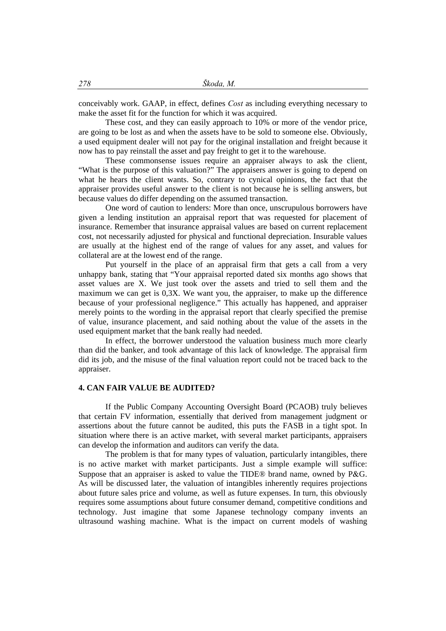conceivably work. GAAP, in effect, defines *Cost* as including everything necessary to make the asset fit for the function for which it was acquired.

 These cost, and they can easily approach to 10% or more of the vendor price, are going to be lost as and when the assets have to be sold to someone else. Obviously, a used equipment dealer will not pay for the original installation and freight because it now has to pay reinstall the asset and pay freight to get it to the warehouse.

 These commonsense issues require an appraiser always to ask the client, "What is the purpose of this valuation?" The appraisers answer is going to depend on what he hears the client wants. So, contrary to cynical opinions, the fact that the appraiser provides useful answer to the client is not because he is selling answers, but because values do differ depending on the assumed transaction.

 One word of caution to lenders: More than once, unscrupulous borrowers have given a lending institution an appraisal report that was requested for placement of insurance. Remember that insurance appraisal values are based on current replacement cost, not necessarily adjusted for physical and functional depreciation. Insurable values are usually at the highest end of the range of values for any asset, and values for collateral are at the lowest end of the range.

 Put yourself in the place of an appraisal firm that gets a call from a very unhappy bank, stating that "Your appraisal reported dated six months ago shows that asset values are X. We just took over the assets and tried to sell them and the maximum we can get is 0,3X. We want you, the appraiser, to make up the difference because of your professional negligence." This actually has happened, and appraiser merely points to the wording in the appraisal report that clearly specified the premise of value, insurance placement, and said nothing about the value of the assets in the used equipment market that the bank really had needed.

 In effect, the borrower understood the valuation business much more clearly than did the banker, and took advantage of this lack of knowledge. The appraisal firm did its job, and the misuse of the final valuation report could not be traced back to the appraiser.

#### **4. CAN FAIR VALUE BE AUDITED?**

 If the Public Company Accounting Oversight Board (PCAOB) truly believes that certain FV information, essentially that derived from management judgment or assertions about the future cannot be audited, this puts the FASB in a tight spot. In situation where there is an active market, with several market participants, appraisers can develop the information and auditors can verify the data.

 The problem is that for many types of valuation, particularly intangibles, there is no active market with market participants. Just a simple example will suffice: Suppose that an appraiser is asked to value the TIDE® brand name, owned by P&G. As will be discussed later, the valuation of intangibles inherently requires projections about future sales price and volume, as well as future expenses. In turn, this obviously requires some assumptions about future consumer demand, competitive conditions and technology. Just imagine that some Japanese technology company invents an ultrasound washing machine. What is the impact on current models of washing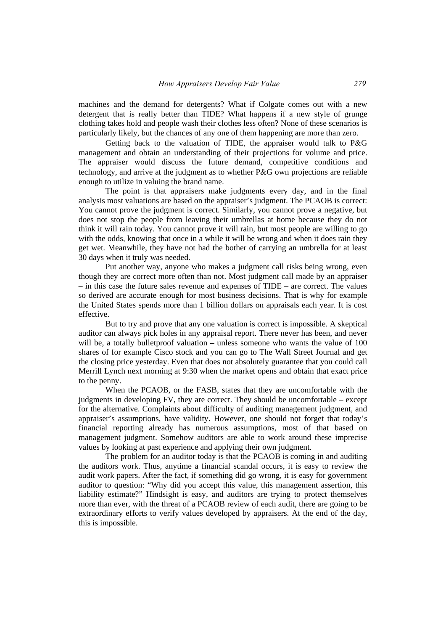machines and the demand for detergents? What if Colgate comes out with a new detergent that is really better than TIDE? What happens if a new style of grunge clothing takes hold and people wash their clothes less often? None of these scenarios is particularly likely, but the chances of any one of them happening are more than zero.

Getting back to the valuation of TIDE, the appraiser would talk to P&G management and obtain an understanding of their projections for volume and price. The appraiser would discuss the future demand, competitive conditions and technology, and arrive at the judgment as to whether  $P\&G$  own projections are reliable enough to utilize in valuing the brand name.

 The point is that appraisers make judgments every day, and in the final analysis most valuations are based on the appraiser's judgment. The PCAOB is correct: You cannot prove the judgment is correct. Similarly, you cannot prove a negative, but does not stop the people from leaving their umbrellas at home because they do not think it will rain today. You cannot prove it will rain, but most people are willing to go with the odds, knowing that once in a while it will be wrong and when it does rain they get wet. Meanwhile, they have not had the bother of carrying an umbrella for at least 30 days when it truly was needed.

 Put another way, anyone who makes a judgment call risks being wrong, even though they are correct more often than not. Most judgment call made by an appraiser – in this case the future sales revenue and expenses of TIDE – are correct. The values so derived are accurate enough for most business decisions. That is why for example the United States spends more than 1 billion dollars on appraisals each year. It is cost effective.

 But to try and prove that any one valuation is correct is impossible. A skeptical auditor can always pick holes in any appraisal report. There never has been, and never will be, a totally bulletproof valuation – unless someone who wants the value of 100 shares of for example Cisco stock and you can go to The Wall Street Journal and get the closing price yesterday. Even that does not absolutely guarantee that you could call Merrill Lynch next morning at 9:30 when the market opens and obtain that exact price to the penny.

 When the PCAOB, or the FASB, states that they are uncomfortable with the judgments in developing FV, they are correct. They should be uncomfortable – except for the alternative. Complaints about difficulty of auditing management judgment, and appraiser's assumptions, have validity. However, one should not forget that today's financial reporting already has numerous assumptions, most of that based on management judgment. Somehow auditors are able to work around these imprecise values by looking at past experience and applying their own judgment.

 The problem for an auditor today is that the PCAOB is coming in and auditing the auditors work. Thus, anytime a financial scandal occurs, it is easy to review the audit work papers. After the fact, if something did go wrong, it is easy for government auditor to question: "Why did you accept this value, this management assertion, this liability estimate?" Hindsight is easy, and auditors are trying to protect themselves more than ever, with the threat of a PCAOB review of each audit, there are going to be extraordinary efforts to verify values developed by appraisers. At the end of the day, this is impossible.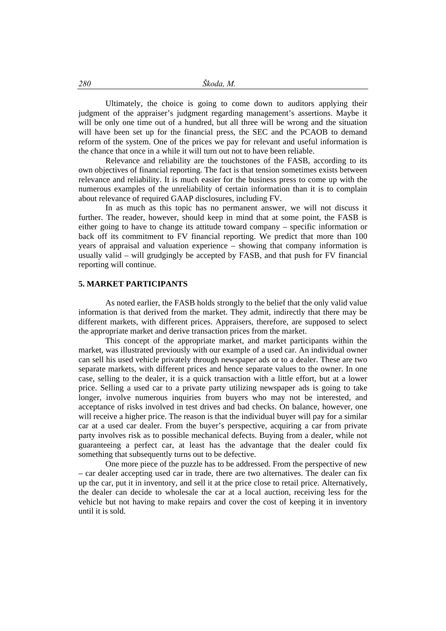Ultimately, the choice is going to come down to auditors applying their judgment of the appraiser's judgment regarding management's assertions. Maybe it will be only one time out of a hundred, but all three will be wrong and the situation will have been set up for the financial press, the SEC and the PCAOB to demand reform of the system. One of the prices we pay for relevant and useful information is the chance that once in a while it will turn out not to have been reliable.

 Relevance and reliability are the touchstones of the FASB, according to its own objectives of financial reporting. The fact is that tension sometimes exists between relevance and reliability. It is much easier for the business press to come up with the numerous examples of the unreliability of certain information than it is to complain about relevance of required GAAP disclosures, including FV.

 In as much as this topic has no permanent answer, we will not discuss it further. The reader, however, should keep in mind that at some point, the FASB is either going to have to change its attitude toward company – specific information or back off its commitment to FV financial reporting. We predict that more than 100 years of appraisal and valuation experience – showing that company information is usually valid – will grudgingly be accepted by FASB, and that push for FV financial reporting will continue.

#### **5. MARKET PARTICIPANTS**

 As noted earlier, the FASB holds strongly to the belief that the only valid value information is that derived from the market. They admit, indirectly that there may be different markets, with different prices. Appraisers, therefore, are supposed to select the appropriate market and derive transaction prices from the market.

 This concept of the appropriate market, and market participants within the market, was illustrated previously with our example of a used car. An individual owner can sell his used vehicle privately through newspaper ads or to a dealer. These are two separate markets, with different prices and hence separate values to the owner. In one case, selling to the dealer, it is a quick transaction with a little effort, but at a lower price. Selling a used car to a private party utilizing newspaper ads is going to take longer, involve numerous inquiries from buyers who may not be interested, and acceptance of risks involved in test drives and bad checks. On balance, however, one will receive a higher price. The reason is that the individual buyer will pay for a similar car at a used car dealer. From the buyer's perspective, acquiring a car from private party involves risk as to possible mechanical defects. Buying from a dealer, while not guaranteeing a perfect car, at least has the advantage that the dealer could fix something that subsequently turns out to be defective.

 One more piece of the puzzle has to be addressed. From the perspective of new – car dealer accepting used car in trade, there are two alternatives. The dealer can fix up the car, put it in inventory, and sell it at the price close to retail price. Alternatively, the dealer can decide to wholesale the car at a local auction, receiving less for the vehicle but not having to make repairs and cover the cost of keeping it in inventory until it is sold.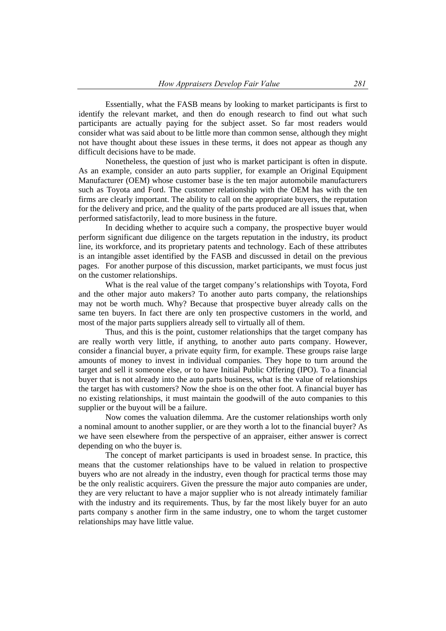Essentially, what the FASB means by looking to market participants is first to identify the relevant market, and then do enough research to find out what such participants are actually paying for the subject asset. So far most readers would consider what was said about to be little more than common sense, although they might not have thought about these issues in these terms, it does not appear as though any difficult decisions have to be made.

 Nonetheless, the question of just who is market participant is often in dispute. As an example, consider an auto parts supplier, for example an Original Equipment Manufacturer (OEM) whose customer base is the ten major automobile manufacturers such as Toyota and Ford. The customer relationship with the OEM has with the ten firms are clearly important. The ability to call on the appropriate buyers, the reputation for the delivery and price, and the quality of the parts produced are all issues that, when performed satisfactorily, lead to more business in the future.

 In deciding whether to acquire such a company, the prospective buyer would perform significant due diligence on the targets reputation in the industry, its product line, its workforce, and its proprietary patents and technology. Each of these attributes is an intangible asset identified by the FASB and discussed in detail on the previous pages. For another purpose of this discussion, market participants, we must focus just on the customer relationships.

 What is the real value of the target company's relationships with Toyota, Ford and the other major auto makers? To another auto parts company, the relationships may not be worth much. Why? Because that prospective buyer already calls on the same ten buyers. In fact there are only ten prospective customers in the world, and most of the major parts suppliers already sell to virtually all of them.

 Thus, and this is the point, customer relationships that the target company has are really worth very little, if anything, to another auto parts company. However, consider a financial buyer, a private equity firm, for example. These groups raise large amounts of money to invest in individual companies. They hope to turn around the target and sell it someone else, or to have Initial Public Offering (IPO). To a financial buyer that is not already into the auto parts business, what is the value of relationships the target has with customers? Now the shoe is on the other foot. A financial buyer has no existing relationships, it must maintain the goodwill of the auto companies to this supplier or the buyout will be a failure.

 Now comes the valuation dilemma. Are the customer relationships worth only a nominal amount to another supplier, or are they worth a lot to the financial buyer? As we have seen elsewhere from the perspective of an appraiser, either answer is correct depending on who the buyer is.

 The concept of market participants is used in broadest sense. In practice, this means that the customer relationships have to be valued in relation to prospective buyers who are not already in the industry, even though for practical terms those may be the only realistic acquirers. Given the pressure the major auto companies are under, they are very reluctant to have a major supplier who is not already intimately familiar with the industry and its requirements. Thus, by far the most likely buyer for an auto parts company s another firm in the same industry, one to whom the target customer relationships may have little value.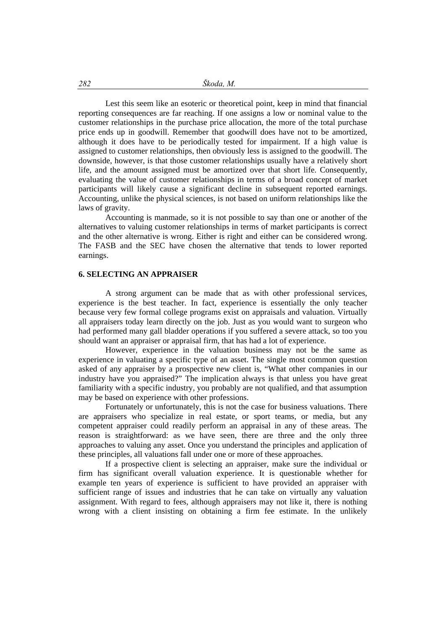Lest this seem like an esoteric or theoretical point, keep in mind that financial reporting consequences are far reaching. If one assigns a low or nominal value to the customer relationships in the purchase price allocation, the more of the total purchase price ends up in goodwill. Remember that goodwill does have not to be amortized, although it does have to be periodically tested for impairment. If a high value is assigned to customer relationships, then obviously less is assigned to the goodwill. The downside, however, is that those customer relationships usually have a relatively short life, and the amount assigned must be amortized over that short life. Consequently, evaluating the value of customer relationships in terms of a broad concept of market participants will likely cause a significant decline in subsequent reported earnings. Accounting, unlike the physical sciences, is not based on uniform relationships like the laws of gravity.

 Accounting is manmade, so it is not possible to say than one or another of the alternatives to valuing customer relationships in terms of market participants is correct and the other alternative is wrong. Either is right and either can be considered wrong. The FASB and the SEC have chosen the alternative that tends to lower reported earnings.

## **6. SELECTING AN APPRAISER**

 A strong argument can be made that as with other professional services, experience is the best teacher. In fact, experience is essentially the only teacher because very few formal college programs exist on appraisals and valuation. Virtually all appraisers today learn directly on the job. Just as you would want to surgeon who had performed many gall bladder operations if you suffered a severe attack, so too you should want an appraiser or appraisal firm, that has had a lot of experience.

 However, experience in the valuation business may not be the same as experience in valuating a specific type of an asset. The single most common question asked of any appraiser by a prospective new client is, "What other companies in our industry have you appraised?" The implication always is that unless you have great familiarity with a specific industry, you probably are not qualified, and that assumption may be based on experience with other professions.

 Fortunately or unfortunately, this is not the case for business valuations. There are appraisers who specialize in real estate, or sport teams, or media, but any competent appraiser could readily perform an appraisal in any of these areas. The reason is straightforward: as we have seen, there are three and the only three approaches to valuing any asset. Once you understand the principles and application of these principles, all valuations fall under one or more of these approaches.

 If a prospective client is selecting an appraiser, make sure the individual or firm has significant overall valuation experience. It is questionable whether for example ten years of experience is sufficient to have provided an appraiser with sufficient range of issues and industries that he can take on virtually any valuation assignment. With regard to fees, although appraisers may not like it, there is nothing wrong with a client insisting on obtaining a firm fee estimate. In the unlikely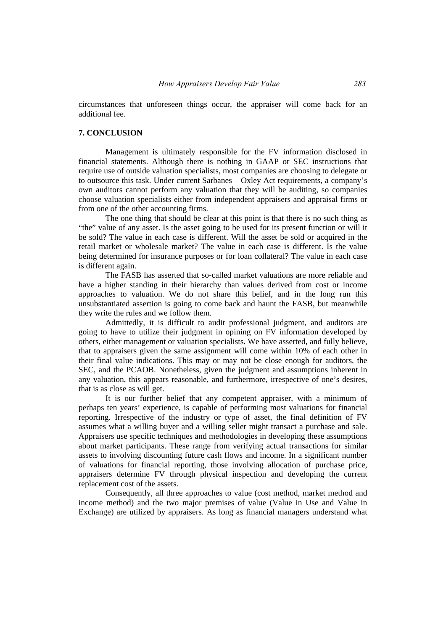circumstances that unforeseen things occur, the appraiser will come back for an additional fee.

## **7. CONCLUSION**

 Management is ultimately responsible for the FV information disclosed in financial statements. Although there is nothing in GAAP or SEC instructions that require use of outside valuation specialists, most companies are choosing to delegate or to outsource this task. Under current Sarbanes – Oxley Act requirements, a company's own auditors cannot perform any valuation that they will be auditing, so companies choose valuation specialists either from independent appraisers and appraisal firms or from one of the other accounting firms.

 The one thing that should be clear at this point is that there is no such thing as "the" value of any asset. Is the asset going to be used for its present function or will it be sold? The value in each case is different. Will the asset be sold or acquired in the retail market or wholesale market? The value in each case is different. Is the value being determined for insurance purposes or for loan collateral? The value in each case is different again.

 The FASB has asserted that so-called market valuations are more reliable and have a higher standing in their hierarchy than values derived from cost or income approaches to valuation. We do not share this belief, and in the long run this unsubstantiated assertion is going to come back and haunt the FASB, but meanwhile they write the rules and we follow them.

 Admittedly, it is difficult to audit professional judgment, and auditors are going to have to utilize their judgment in opining on FV information developed by others, either management or valuation specialists. We have asserted, and fully believe, that to appraisers given the same assignment will come within 10% of each other in their final value indications. This may or may not be close enough for auditors, the SEC, and the PCAOB. Nonetheless, given the judgment and assumptions inherent in any valuation, this appears reasonable, and furthermore, irrespective of one's desires, that is as close as will get.

 It is our further belief that any competent appraiser, with a minimum of perhaps ten years' experience, is capable of performing most valuations for financial reporting. Irrespective of the industry or type of asset, the final definition of FV assumes what a willing buyer and a willing seller might transact a purchase and sale. Appraisers use specific techniques and methodologies in developing these assumptions about market participants. These range from verifying actual transactions for similar assets to involving discounting future cash flows and income. In a significant number of valuations for financial reporting, those involving allocation of purchase price, appraisers determine FV through physical inspection and developing the current replacement cost of the assets.

 Consequently, all three approaches to value (cost method, market method and income method) and the two major premises of value (Value in Use and Value in Exchange) are utilized by appraisers. As long as financial managers understand what